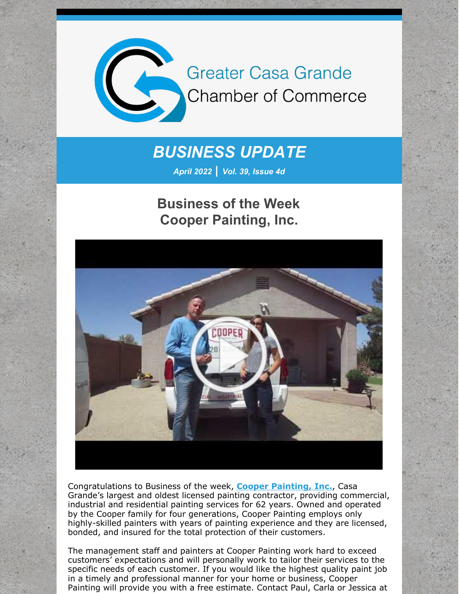

## *BUSINESS UPDATE*

*April 2022 | Vol. 39, Issue 4d*

## **Business of the Week Cooper Painting, Inc.**



Congratulations to Business of the week, **Cooper [Painting,](http://www.cooperpaintinginc.com/) Inc.**, Casa Grande's largest and oldest licensed painting contractor, providing commercial, industrial and residential painting services for 62 years. Owned and operated by the Cooper family for four generations, Cooper Painting employs only highly-skilled painters with years of painting experience and they are licensed, bonded, and insured for the total protection of their customers.

The management staff and painters at Cooper Painting work hard to exceed customers' expectations and will personally work to tailor their services to the specific needs of each customer. If you would like the highest quality paint job in a timely and professional manner for your home or business, Cooper Painting will provide you with a free estimate. Contact Paul, Carla or Jessica at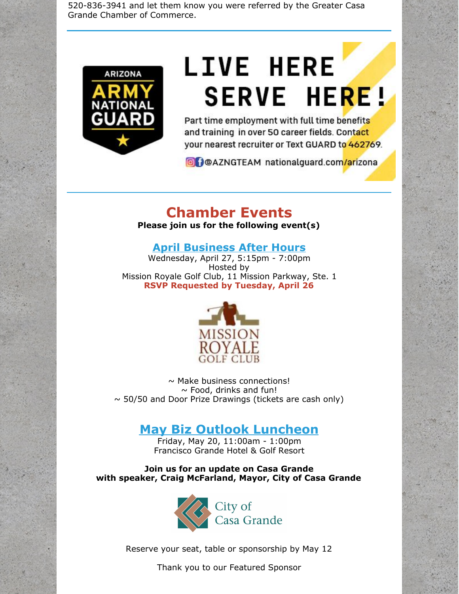520-836-3941 and let them know you were referred by the Greater Casa Grande Chamber of Commerce.



# **LIVE HERE SERVE HERE!**

Part time employment with full time benefits and training in over 50 career fields. Contact your nearest recruiter or Text GUARD to 462769.

**O** POAZNGTEAM nationalguard.com/arizona

## **Chamber Events**

**Please join us for the following event(s)**

### **April [Business](https://cca.casagrandechamber.org/EvtListing.aspx?dbid2=AZCAGR&evtid=28069&class=E) After Hours**

Wednesday, April 27, 5:15pm - 7:00pm Hosted by Mission Royale Golf Club, 11 Mission Parkway, Ste. 1 **RSVP Requested by Tuesday, April 26**



 $\sim$  Make business connections!  $\sim$  Food, drinks and fun!  $\sim$  50/50 and Door Prize Drawings (tickets are cash only)

## **May Biz Outlook [Luncheon](https://r20.rs6.net/tn.jsp?f=001X_954o13phhjpXitoXH1Xf5t3LjyiA6MqS5uEtFFq9J7CbCguKguPQbcJtJb8lQfqRnkaVjgMshEV8o51KTkBYrQkiZV6VslVzOWLThW08Xv876-pC3za-O7TWrjk7McRNCobcK2X-6mUIARzGtmSDyQ05ECdF_l-jPOQZjvsKfIdIpjGZE9gV1RGSeu3TH6zQbD5o2WyPLtBK-EVmppkQB_UUEx7HOouxLUbBtkcuk=&c=&ch=)**

Friday, May 20, 11:00am - 1:00pm Francisco Grande Hotel & Golf Resort

**Join us for an update on Casa Grande with speaker, Craig McFarland, Mayor, City of Casa Grande**



Reserve your seat, table or sponsorship by May 12

Thank you to our Featured Sponsor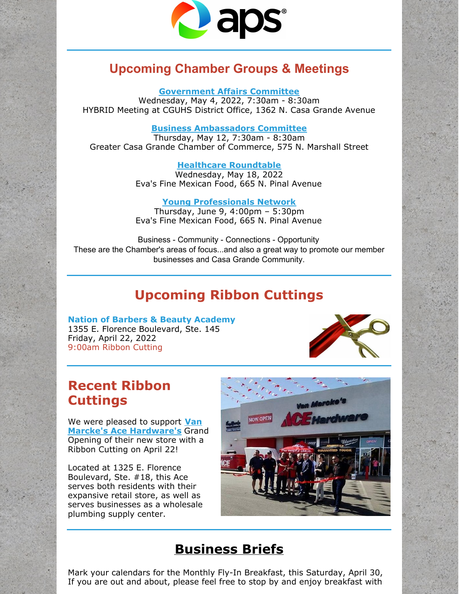

## **Upcoming Chamber Groups & Meetings**

**[Government](https://r20.rs6.net/tn.jsp?f=001X_954o13phhjpXitoXH1Xf5t3LjyiA6MqS5uEtFFq9J7CbCguKguPQft6kEGo0hMFVYWlUhaLGWXUkJza_M_bqcf3wNJF99fYqzY3-qE8yqU698j9kAXLOpuD1b_bMDmkdrka_YyM3J2TjA79UY703vDK4-uzehGT4mbKopFQdrSNiZi3KCCLz1CJOqiKBXoSkbkvRgV9KA2mLebXUcL9kSP5f31u2dMxBypWTmnM6c=&c=&ch=) Affairs Committee**

Wednesday, May 4, 2022, 7:30am - 8:30am HYBRID Meeting at CGUHS District Office, 1362 N. Casa Grande Avenue

#### **Business [Ambassadors](https://r20.rs6.net/tn.jsp?f=001SAfMcPdfFc7dp9FWdhX3dZnXeb1T58kHdow07G8o5-juBNtK7UHFSGEcPYZh0ln3u8fgPLDh2OP-8vEh9IZDmGGN2F4I7qpxsJfGEs1q39x-3DltBMdH4BW9-o1CepCgY_goXjUDDHv-A8xHRH_UAld-4TJ-IIiBjLyZ2IZeQReR1KTZYZBtEBBHTpYnMM5N9K0Z-8eYaAHQ0pq31dliKyFFUVKnmrRRzmU2TLqfycY=&c=&ch=) Committee**

Thursday, May 12, 7:30am - 8:30am Greater Casa Grande Chamber of Commerce, 575 N. Marshall Street

#### **Healthcare [Roundtable](https://cca.casagrandechamber.org/EvtListing.aspx?dbid2=AZCAGR&evtid=35813&class=E)**

Wednesday, May 18, 2022 Eva's Fine Mexican Food, 665 N. Pinal Avenue

#### **Young [Professionals](https://r20.rs6.net/tn.jsp?f=001SAfMcPdfFc7dp9FWdhX3dZnXeb1T58kHdow07G8o5-juBNtK7UHFSGEcPYZh0ln3TkuDO0dblgexBkSGRGlCdZoVTFG_2DKIbGiXWOkH5RK5h9hDw-Br4eb38MxpwJgrD5ACUdWQlHKHUv7RSf6USsc7ZrTwcaezG2YUvXJzz1A9zWFlACgFbJKgZ1x1YzGjOcKFMGmG_SkYZWEqceJ3wfhCTmDVI5d4cXb4IbOhucs=&c=&ch=) Network**

Thursday, June 9, 4:00pm – 5:30pm Eva's Fine Mexican Food, 665 N. Pinal Avenue

Business - Community - Connections - Opportunity These are the Chamber's areas of focus...and also a great way to promote our member businesses and Casa Grande Community.

## **Upcoming Ribbon Cuttings**

**Nation of Barbers & Beauty Academy** 1355 E. Florence Boulevard, Ste. 145 Friday, April 22, 2022 9:00am Ribbon Cutting



## **Recent Ribbon Cuttings**

We were pleased to support **Van Marcke's Ace [Hardware's](http://www.acehardware.com/store-details/17905)** Grand Opening of their new store with a Ribbon Cutting on April 22!

Located at 1325 E. Florence Boulevard, Ste. #18, this Ace serves both residents with their expansive retail store, as well as serves businesses as a wholesale plumbing supply center.



## **Business Briefs**

Mark your calendars for the Monthly Fly-In Breakfast, this Saturday, April 30, If you are out and about, please feel free to stop by and enjoy breakfast with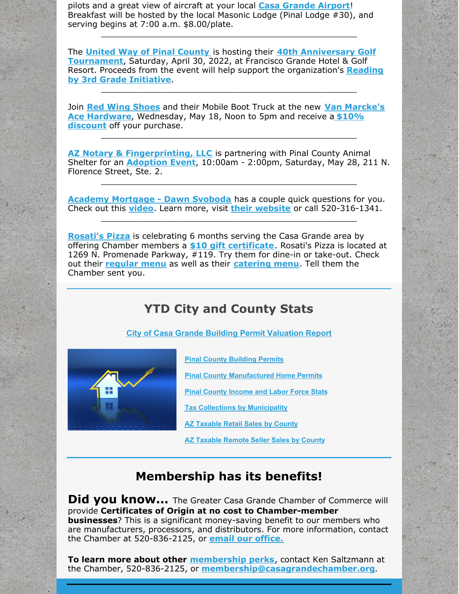pilots and a great view of aircraft at your local **Casa [Grande](https://r20.rs6.net/tn.jsp?f=001SAfMcPdfFc7dp9FWdhX3dZnXeb1T58kHdow07G8o5-juBNtK7UHFSNhPsleOd0EWmiBCqgybjkHa-3vfe8apxKpIOlcvh5Fqo1GN-MHztw5Rpu4POm3AK6JjwSmgy8LoSdb4zHKoyJsILJ2hPqvSQCDin2kqffLfgNWd4RJCa04=&c=&ch=) Airport**! Breakfast will be hosted by the local Masonic Lodge (Pinal Lodge #30), and serving begins at 7:00 a.m. \$8.00/plate.

The **United Way of Pinal [County](http://www.unitedwayofpc.org/)** is hosting their **40th Anniversary Golf [Tournament](https://files.constantcontact.com/8c5f2f7b701/0aeb7096-0fae-43c0-9041-d3135d6438b3.pdf?rdr=true)**, Saturday, April 30, 2022, at Francisco Grande Hotel & Golf Resort. Proceeds from the event will help support the [organization's](https://files.constantcontact.com/8c5f2f7b701/c83ea430-886d-4773-b45d-53be47366e51.pdf?rdr=true) **Reading by 3rd Grade Initiative**.

\_\_\_\_\_\_\_\_\_\_\_\_\_\_\_\_\_\_\_\_\_\_\_\_\_\_\_\_\_\_\_\_\_\_\_\_\_\_\_\_\_\_\_\_\_\_\_\_\_\_

\_\_\_\_\_\_\_\_\_\_\_\_\_\_\_\_\_\_\_\_\_\_\_\_\_\_\_\_\_\_\_\_\_\_\_\_\_\_\_\_\_\_\_\_\_\_\_\_\_\_

Join **Red Wing [Shoes](http://www.redwingshoes.com/)** and their Mobile Boot Truck at the new **Van Marcke's Ace Hardware**, [Wednesday,](https://files.constantcontact.com/8c5f2f7b701/7e6b8fbc-917b-4d3b-a483-64046780f72a.pdf?rdr=true) May 18, Noon to 5pm and receive a **\$10% discount** off your purchase.

**AZ Notary & [Fingerprinting,](http://www.aznotaryandfingerprinting.com) LLC** is partnering with Pinal County Animal Shelter for an **[Adoption](https://files.constantcontact.com/8c5f2f7b701/8ce2f1f2-fba0-432a-8018-8cad1bb7da1b.pdf?rdr=true) Event**, 10:00am - 2:00pm, Saturday, May 28, 211 N. Florence Street, Ste. 2.

\_\_\_\_\_\_\_\_\_\_\_\_\_\_\_\_\_\_\_\_\_\_\_\_\_\_\_\_\_\_\_\_\_\_\_\_\_\_\_\_\_\_\_\_\_\_\_\_\_\_

\_\_\_\_\_\_\_\_\_\_\_\_\_\_\_\_\_\_\_\_\_\_\_\_\_\_\_\_\_\_\_\_\_\_\_\_\_\_\_\_\_\_\_\_\_\_\_\_\_\_

**Academy [Mortgage](https://urldefense.com/v3/__https:/r20.rs6.net/tn.jsp?f=001EN734VFBR0ZW5182MWC7XiScX5aZXIf-MxpOOFzS8OCmPak4uUmITSCk2uuwvCgCaZQ5-UxEK2JWHVDQ7FoLA8w75id_Uix9KmBZtbQ0DCKuOtCFgVehmRzFKMpxezjoaTRoO2eFQIY9HUSXwrFTj6B8KaWTRlb7io4WYesFRMC853xjm-4Ool-BTCL_Js2ZOiU4tj0zLjsRYtFXiXaMtB8VUb3QYysi8mEwAsijzo8=&c=sxxBZ2Lc7UB6pzbS3jycbIGlNDXdj8D_ogD0TSkOZYu07N4pp-wobA==&ch=0d1p0Az7npJT63MUnmUPNO4hj_sy-7R6HjfThGZd2xJ3-FMa2cRIkA==__;!!G56PLLyD-9nXgFhp!MpI9hPHpxvkqP945mdppojzE8VDl43-1vPVA3kWsJIf3LqOVe9fIPPb8h4Do3pGlk7nviwZJAi55Nm8KDoE28Ed2atBjGC-QBVGXbY4%24) - Dawn Svoboda** has a couple [qu](https://urldefense.com/v3/__https:/r20.rs6.net/tn.jsp?f=001EN734VFBR0ZW5182MWC7XiScX5aZXIf-MxpOOFzS8OCmPak4uUmITb5NGfAeUMPhoOVntnf6pHVF1qOACoWlzyt1tZX0SsOYAMR8VVrNfitU1xvvM3eFnI6raup7cqe2vCNJQ3RFOH0f_Hy6Dx40upzLm_i02U_wv4AhoOs39yk=&c=sxxBZ2Lc7UB6pzbS3jycbIGlNDXdj8D_ogD0TSkOZYu07N4pp-wobA==&ch=0d1p0Az7npJT63MUnmUPNO4hj_sy-7R6HjfThGZd2xJ3-FMa2cRIkA==__;!!G56PLLyD-9nXgFhp!MpI9hPHpxvkqP945mdppojzE8VDl43-1vPVA3kWsJIf3LqOVe9fIPPb8h4Do3pGlk7nviwZJAi55Nm8KDoE28Ed2atBjGC-QcCF71EM%24)ick questions for you. Check out this **[video](https://urldefense.com/v3/__https:/vimeo.com/manage/videos/702211928__;!!G56PLLyD-9nXgFhp!MpI9hPHpxvkqP945mdppojzE8VDl43-1vPVA3kWsJIf3LqOVe9fIPPb8h4Do3pGlk7nviwZJAi55Nm8KDoE28Ed2atBjGC-QccNrKXM%24)**. Learn more, visit **their [website](https://urldefense.com/v3/__https:/r20.rs6.net/tn.jsp?f=001EN734VFBR0ZW5182MWC7XiScX5aZXIf-MxpOOFzS8OCmPak4uUmITb5NGfAeUMPhoOVntnf6pHVF1qOACoWlzyt1tZX0SsOYAMR8VVrNfitU1xvvM3eFnI6raup7cqe2vCNJQ3RFOH0f_Hy6Dx40upzLm_i02U_wv4AhoOs39yk=&c=sxxBZ2Lc7UB6pzbS3jycbIGlNDXdj8D_ogD0TSkOZYu07N4pp-wobA==&ch=0d1p0Az7npJT63MUnmUPNO4hj_sy-7R6HjfThGZd2xJ3-FMa2cRIkA==__;!!G56PLLyD-9nXgFhp!MpI9hPHpxvkqP945mdppojzE8VDl43-1vPVA3kWsJIf3LqOVe9fIPPb8h4Do3pGlk7nviwZJAi55Nm8KDoE28Ed2atBjGC-QcCF71EM%24)** or call 520-316-1341.

\_\_\_\_\_\_\_\_\_\_\_\_\_\_\_\_\_\_\_\_\_\_\_\_\_\_\_\_\_\_\_\_\_\_\_\_\_\_\_\_\_\_\_\_\_\_\_\_\_\_

**[Rosati's](http://www.myrosatis.com/casa-grande) Pizza** is celebrating 6 months serving the Casa Grande area by offering Chamber members a **\$10 gift [certificate](https://files.constantcontact.com/8c5f2f7b701/49faf441-5e31-4bab-8751-107cc9106c9e.pdf?rdr=true)**. Rosati's Pizza is located at 1269 N. Promenade Parkway, #119. Try them for dine-in or take-out. Check out their **[regular](https://myrosatis.com/menu/) menu** as well as their **[catering](https://files.constantcontact.com/8c5f2f7b701/6b28a062-b991-4741-9720-493e6b1eea7f.pdf?rdr=true) menu**. Tell them the Chamber sent you.

## **YTD City and County Stats**

**City of Casa Grande Building Permit [Valuation](https://files.constantcontact.com/8c5f2f7b701/ad22612d-2ce3-4b92-b644-0be0150f62b4.pdf?rdr=true) Report**



**Pinal County [Building](https://files.constantcontact.com/8c5f2f7b701/56f6d073-20b8-4ffa-92c2-2150be3f4857.pdf?rdr=true) Permits**

**Pinal County [Manufactured](https://files.constantcontact.com/8c5f2f7b701/70216318-f880-4cdb-861b-73444b22b5b6.pdf?rdr=true) Home Permits**

**Pinal County [Income](https://www.azeconomy.org/data/pinal-county/) and Labor Force Stats**

**Tax Collections by [Municipality](https://files.constantcontact.com/8c5f2f7b701/27cb796d-7b91-41a2-a35a-8ee3f3c2c8f8.pdf?rdr=true)**

**AZ [Taxable](https://files.constantcontact.com/8c5f2f7b701/e10dbcda-988a-4a5f-8353-d8258d2c622e.pdf?rdr=true) Retail Sales by County**

**AZ [Taxable](https://files.constantcontact.com/8c5f2f7b701/081a4c88-3d44-4418-b822-9908f9ab0428.pdf?rdr=true) Remote Seller Sales by County**

## **Membership has its benefits!**

**Did you know...** The Greater Casa Grande Chamber of Commerce will provide **Certificates of Origin at no cost to Chamber-member businesses**? This is a significant money-saving benefit to our members who are manufacturers, processors, and distributors. For more information, contact the Chamber at 520-836-2125, or **email our [office.](mailto:president@casagrandechamber.org)**

**To learn more about other [membership](https://casagrandechamber.org/member-benefits/) perks**, contact Ken Saltzmann at the Chamber, 520-836-2125, or **[membership@casagrandechamber.org](mailto:membership@casagrandechamber.org)**.